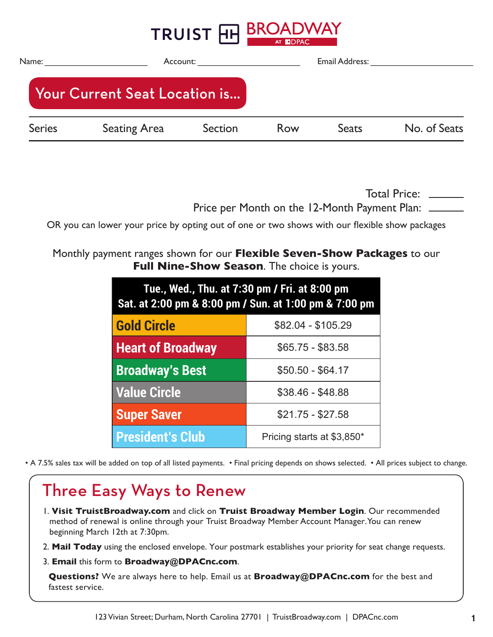|               |                               | TRUIST FIH BROADWAY | AT <b>MDPAC</b> |                |              |
|---------------|-------------------------------|---------------------|-----------------|----------------|--------------|
| Name:         |                               | Account:            |                 | Email Address: |              |
|               | Your Current Seat Location is |                     |                 |                |              |
| <b>Series</b> | <b>Seating Area</b>           | Section             | Row             | <b>Seats</b>   | No. of Seats |
|               |                               |                     |                 |                |              |

Total Price: \_\_\_\_\_\_ Price per Month on the 12-Month Payment Plan:  $\equiv$ 

OR you can lower your price by opting out of one or two shows with our flexible show packages

#### Monthly payment ranges shown for our **Flexible Seven-Show Packages** to our **Full Nine-Show Season**. The choice is yours.

| Tue., Wed., Thu. at 7:30 pm / Fri. at 8:00 pm<br>Sat. at 2:00 pm & 8:00 pm / Sun. at 1:00 pm & 7:00 pm |                            |  |  |  |
|--------------------------------------------------------------------------------------------------------|----------------------------|--|--|--|
| <b>Gold Circle</b>                                                                                     | \$82.04 - \$105.29         |  |  |  |
| <b>Heart of Broadway</b>                                                                               | $$65.75 - $83.58$          |  |  |  |
| <b>Broadway's Best</b>                                                                                 | $$50.50 - $64.17$          |  |  |  |
| <b>Value Circle</b>                                                                                    | $$38.46 - $48.88$          |  |  |  |
| <b>Super Saver</b>                                                                                     | $$21.75 - $27.58$          |  |  |  |
| <b>President's Club</b>                                                                                | Pricing starts at \$3,850* |  |  |  |

• A 7.5% sales tax will be added on top of all listed payments. • Final pricing depends on shows selected. • All prices subject to change.

# Three Easy Ways to Renew

- 1. **Visit TruistBroadway.com** and click on **Truist Broadway Member Login**. Our recommended method of renewal is online through your Truist Broadway Member Account Manager. You can renew beginning March 12th at 7:30pm.
- 2. **Mail Today** using the enclosed envelope. Your postmark establishes your priority for seat change requests.
- 3. **Email** this form to **Broadway@DPACnc.com**.

**Questions?** We are always here to help. Email us at **Broadway@DPACnc.com** for the best and fastest service.